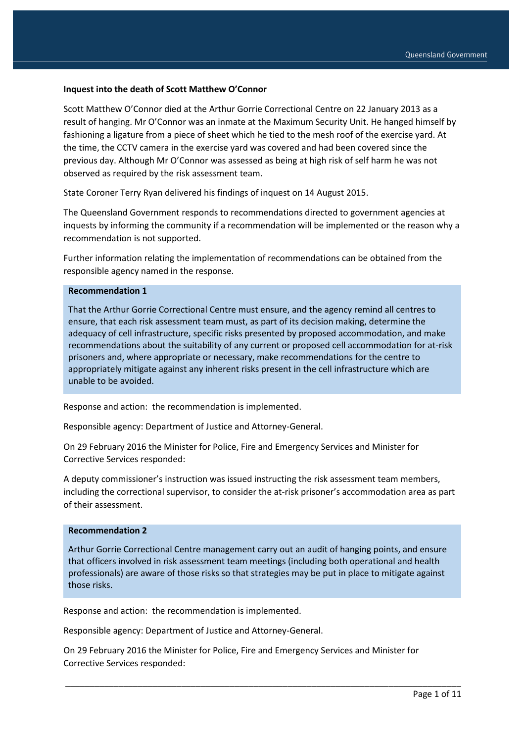### **Inquest into the death of Scott Matthew O'Connor**

Scott Matthew O'Connor died at the Arthur Gorrie Correctional Centre on 22 January 2013 as a result of hanging. Mr O'Connor was an inmate at the Maximum Security Unit. He hanged himself by fashioning a ligature from a piece of sheet which he tied to the mesh roof of the exercise yard. At the time, the CCTV camera in the exercise yard was covered and had been covered since the previous day. Although Mr O'Connor was assessed as being at high risk of self harm he was not observed as required by the risk assessment team.

State Coroner Terry Ryan delivered his findings of inquest on 14 August 2015.

The Queensland Government responds to recommendations directed to government agencies at inquests by informing the community if a recommendation will be implemented or the reason why a recommendation is not supported.

Further information relating the implementation of recommendations can be obtained from the responsible agency named in the response.

#### **Recommendation 1**

That the Arthur Gorrie Correctional Centre must ensure, and the agency remind all centres to ensure, that each risk assessment team must, as part of its decision making, determine the adequacy of cell infrastructure, specific risks presented by proposed accommodation, and make recommendations about the suitability of any current or proposed cell accommodation for at-risk prisoners and, where appropriate or necessary, make recommendations for the centre to appropriately mitigate against any inherent risks present in the cell infrastructure which are unable to be avoided.

Response and action: the recommendation is implemented.

Responsible agency: Department of Justice and Attorney-General.

On 29 February 2016 the Minister for Police, Fire and Emergency Services and Minister for Corrective Services responded:

A deputy commissioner's instruction was issued instructing the risk assessment team members, including the correctional supervisor, to consider the at-risk prisoner's accommodation area as part of their assessment.

### **Recommendation 2**

Arthur Gorrie Correctional Centre management carry out an audit of hanging points, and ensure that officers involved in risk assessment team meetings (including both operational and health professionals) are aware of those risks so that strategies may be put in place to mitigate against those risks.

Response and action: the recommendation is implemented.

Responsible agency: Department of Justice and Attorney-General.

On 29 February 2016 the Minister for Police, Fire and Emergency Services and Minister for Corrective Services responded: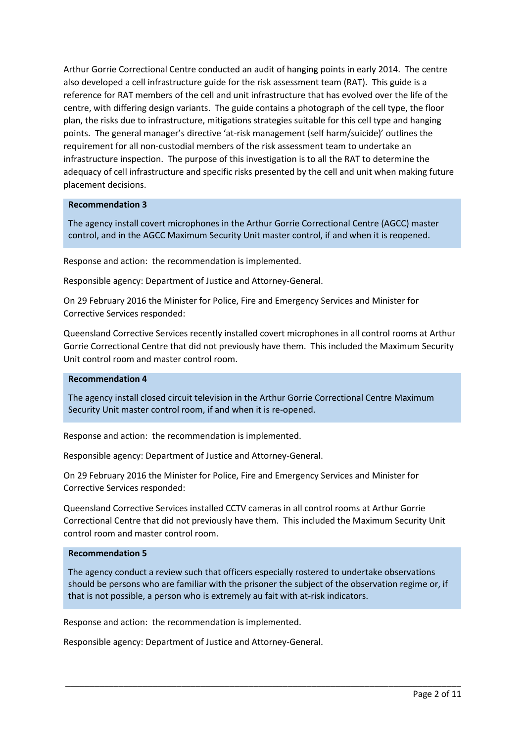Arthur Gorrie Correctional Centre conducted an audit of hanging points in early 2014. The centre also developed a cell infrastructure guide for the risk assessment team (RAT). This guide is a reference for RAT members of the cell and unit infrastructure that has evolved over the life of the centre, with differing design variants. The guide contains a photograph of the cell type, the floor plan, the risks due to infrastructure, mitigations strategies suitable for this cell type and hanging points. The general manager's directive 'at-risk management (self harm/suicide)' outlines the requirement for all non-custodial members of the risk assessment team to undertake an infrastructure inspection. The purpose of this investigation is to all the RAT to determine the adequacy of cell infrastructure and specific risks presented by the cell and unit when making future placement decisions.

## **Recommendation 3**

The agency install covert microphones in the Arthur Gorrie Correctional Centre (AGCC) master control, and in the AGCC Maximum Security Unit master control, if and when it is reopened.

Response and action: the recommendation is implemented.

Responsible agency: Department of Justice and Attorney-General.

On 29 February 2016 the Minister for Police, Fire and Emergency Services and Minister for Corrective Services responded:

Queensland Corrective Services recently installed covert microphones in all control rooms at Arthur Gorrie Correctional Centre that did not previously have them. This included the Maximum Security Unit control room and master control room.

### **Recommendation 4**

The agency install closed circuit television in the Arthur Gorrie Correctional Centre Maximum Security Unit master control room, if and when it is re-opened.

Response and action: the recommendation is implemented.

Responsible agency: Department of Justice and Attorney-General.

On 29 February 2016 the Minister for Police, Fire and Emergency Services and Minister for Corrective Services responded:

Queensland Corrective Services installed CCTV cameras in all control rooms at Arthur Gorrie Correctional Centre that did not previously have them. This included the Maximum Security Unit control room and master control room.

### **Recommendation 5**

The agency conduct a review such that officers especially rostered to undertake observations should be persons who are familiar with the prisoner the subject of the observation regime or, if that is not possible, a person who is extremely au fait with at-risk indicators.

\_\_\_\_\_\_\_\_\_\_\_\_\_\_\_\_\_\_\_\_\_\_\_\_\_\_\_\_\_\_\_\_\_\_\_\_\_\_\_\_\_\_\_\_\_\_\_\_\_\_\_\_\_\_\_\_\_\_\_\_\_\_\_\_\_\_\_\_\_\_\_\_\_\_\_\_\_\_\_\_\_\_

Response and action: the recommendation is implemented.

Responsible agency: Department of Justice and Attorney-General.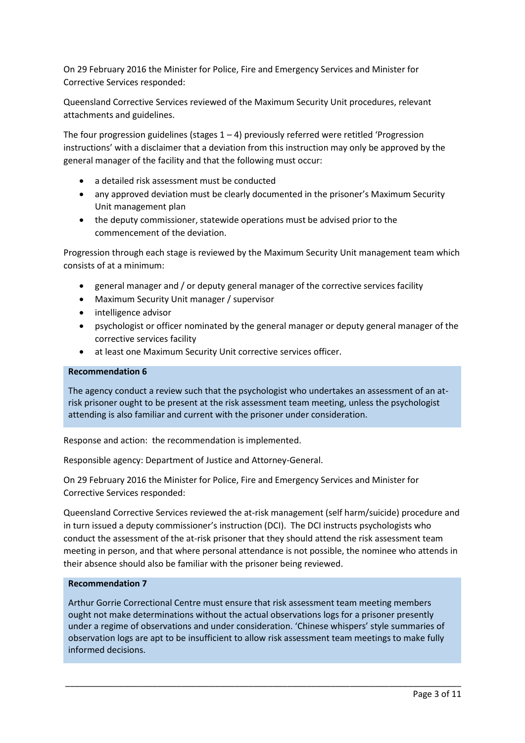On 29 February 2016 the Minister for Police, Fire and Emergency Services and Minister for Corrective Services responded:

Queensland Corrective Services reviewed of the Maximum Security Unit procedures, relevant attachments and guidelines.

The four progression guidelines (stages  $1 - 4$ ) previously referred were retitled 'Progression instructions' with a disclaimer that a deviation from this instruction may only be approved by the general manager of the facility and that the following must occur:

- a detailed risk assessment must be conducted
- any approved deviation must be clearly documented in the prisoner's Maximum Security Unit management plan
- the deputy commissioner, statewide operations must be advised prior to the commencement of the deviation.

Progression through each stage is reviewed by the Maximum Security Unit management team which consists of at a minimum:

- general manager and / or deputy general manager of the corrective services facility
- Maximum Security Unit manager / supervisor
- intelligence advisor
- psychologist or officer nominated by the general manager or deputy general manager of the corrective services facility
- at least one Maximum Security Unit corrective services officer.

### **Recommendation 6**

The agency conduct a review such that the psychologist who undertakes an assessment of an atrisk prisoner ought to be present at the risk assessment team meeting, unless the psychologist attending is also familiar and current with the prisoner under consideration.

Response and action: the recommendation is implemented.

Responsible agency: Department of Justice and Attorney-General.

On 29 February 2016 the Minister for Police, Fire and Emergency Services and Minister for Corrective Services responded:

Queensland Corrective Services reviewed the at-risk management (self harm/suicide) procedure and in turn issued a deputy commissioner's instruction (DCI). The DCI instructs psychologists who conduct the assessment of the at-risk prisoner that they should attend the risk assessment team meeting in person, and that where personal attendance is not possible, the nominee who attends in their absence should also be familiar with the prisoner being reviewed.

## **Recommendation 7**

Arthur Gorrie Correctional Centre must ensure that risk assessment team meeting members ought not make determinations without the actual observations logs for a prisoner presently under a regime of observations and under consideration. 'Chinese whispers' style summaries of observation logs are apt to be insufficient to allow risk assessment team meetings to make fully informed decisions.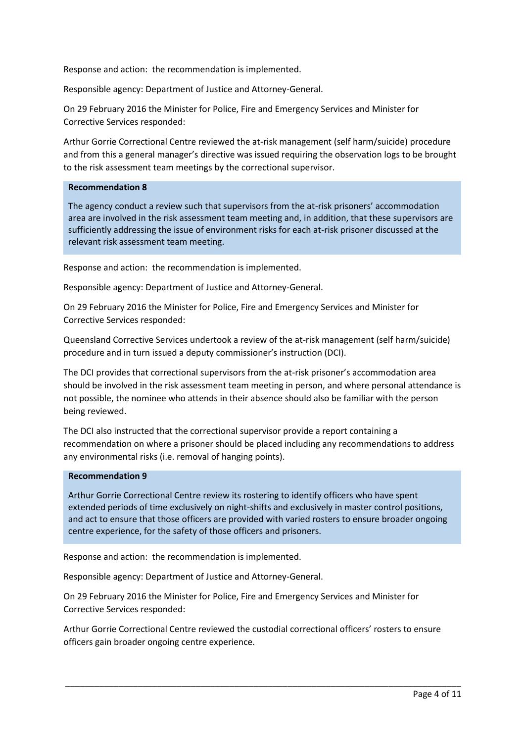Response and action: the recommendation is implemented.

Responsible agency: Department of Justice and Attorney-General.

On 29 February 2016 the Minister for Police, Fire and Emergency Services and Minister for Corrective Services responded:

Arthur Gorrie Correctional Centre reviewed the at-risk management (self harm/suicide) procedure and from this a general manager's directive was issued requiring the observation logs to be brought to the risk assessment team meetings by the correctional supervisor.

## **Recommendation 8**

The agency conduct a review such that supervisors from the at-risk prisoners' accommodation area are involved in the risk assessment team meeting and, in addition, that these supervisors are sufficiently addressing the issue of environment risks for each at-risk prisoner discussed at the relevant risk assessment team meeting.

Response and action: the recommendation is implemented.

Responsible agency: Department of Justice and Attorney-General.

On 29 February 2016 the Minister for Police, Fire and Emergency Services and Minister for Corrective Services responded:

Queensland Corrective Services undertook a review of the at-risk management (self harm/suicide) procedure and in turn issued a deputy commissioner's instruction (DCI).

The DCI provides that correctional supervisors from the at-risk prisoner's accommodation area should be involved in the risk assessment team meeting in person, and where personal attendance is not possible, the nominee who attends in their absence should also be familiar with the person being reviewed.

The DCI also instructed that the correctional supervisor provide a report containing a recommendation on where a prisoner should be placed including any recommendations to address any environmental risks (i.e. removal of hanging points).

## **Recommendation 9**

Arthur Gorrie Correctional Centre review its rostering to identify officers who have spent extended periods of time exclusively on night-shifts and exclusively in master control positions, and act to ensure that those officers are provided with varied rosters to ensure broader ongoing centre experience, for the safety of those officers and prisoners.

Response and action: the recommendation is implemented.

Responsible agency: Department of Justice and Attorney-General.

On 29 February 2016 the Minister for Police, Fire and Emergency Services and Minister for Corrective Services responded:

Arthur Gorrie Correctional Centre reviewed the custodial correctional officers' rosters to ensure officers gain broader ongoing centre experience.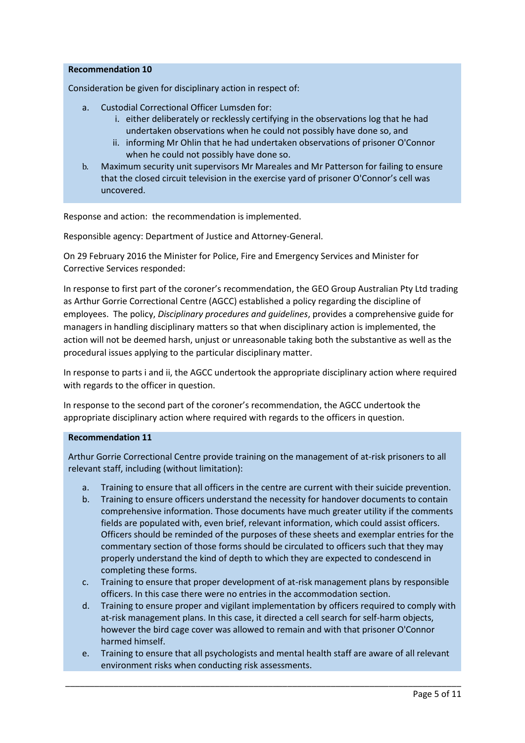## **Recommendation 10**

Consideration be given for disciplinary action in respect of:

- a. Custodial Correctional Officer Lumsden for:
	- i. either deliberately or recklessly certifying in the observations log that he had undertaken observations when he could not possibly have done so, and
	- ii. informing Mr Ohlin that he had undertaken observations of prisoner O'Connor when he could not possibly have done so.
- b. Maximum security unit supervisors Mr Mareales and Mr Patterson for failing to ensure that the closed circuit television in the exercise yard of prisoner O'Connor's cell was uncovered.

Response and action: the recommendation is implemented.

Responsible agency: Department of Justice and Attorney-General.

On 29 February 2016 the Minister for Police, Fire and Emergency Services and Minister for Corrective Services responded:

In response to first part of the coroner's recommendation, the GEO Group Australian Pty Ltd trading as Arthur Gorrie Correctional Centre (AGCC) established a policy regarding the discipline of employees. The policy, *Disciplinary procedures and guidelines*, provides a comprehensive guide for managers in handling disciplinary matters so that when disciplinary action is implemented, the action will not be deemed harsh, unjust or unreasonable taking both the substantive as well as the procedural issues applying to the particular disciplinary matter.

In response to parts i and ii, the AGCC undertook the appropriate disciplinary action where required with regards to the officer in question.

In response to the second part of the coroner's recommendation, the AGCC undertook the appropriate disciplinary action where required with regards to the officers in question.

## **Recommendation 11**

Arthur Gorrie Correctional Centre provide training on the management of at-risk prisoners to all relevant staff, including (without limitation):

- a. Training to ensure that all officers in the centre are current with their suicide prevention.
- b. Training to ensure officers understand the necessity for handover documents to contain comprehensive information. Those documents have much greater utility if the comments fields are populated with, even brief, relevant information, which could assist officers. Officers should be reminded of the purposes of these sheets and exemplar entries for the commentary section of those forms should be circulated to officers such that they may properly understand the kind of depth to which they are expected to condescend in completing these forms.
- c. Training to ensure that proper development of at-risk management plans by responsible officers. In this case there were no entries in the accommodation section.
- d. Training to ensure proper and vigilant implementation by officers required to comply with at-risk management plans. In this case, it directed a cell search for self-harm objects, however the bird cage cover was allowed to remain and with that prisoner O'Connor harmed himself.
- e. Training to ensure that all psychologists and mental health staff are aware of all relevant environment risks when conducting risk assessments.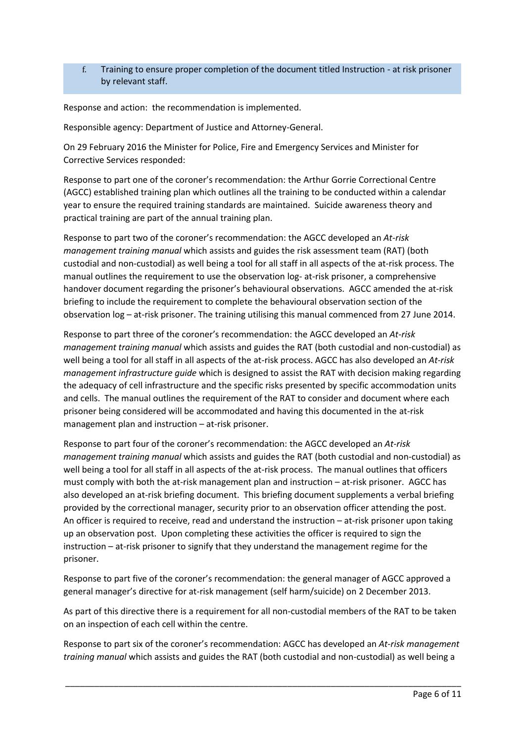f. Training to ensure proper completion of the document titled Instruction - at risk prisoner by relevant staff.

Response and action: the recommendation is implemented.

Responsible agency: Department of Justice and Attorney-General.

On 29 February 2016 the Minister for Police, Fire and Emergency Services and Minister for Corrective Services responded:

Response to part one of the coroner's recommendation: the Arthur Gorrie Correctional Centre (AGCC) established training plan which outlines all the training to be conducted within a calendar year to ensure the required training standards are maintained. Suicide awareness theory and practical training are part of the annual training plan.

Response to part two of the coroner's recommendation: the AGCC developed an *At-risk management training manual* which assists and guides the risk assessment team (RAT) (both custodial and non-custodial) as well being a tool for all staff in all aspects of the at-risk process. The manual outlines the requirement to use the observation log- at-risk prisoner, a comprehensive handover document regarding the prisoner's behavioural observations. AGCC amended the at-risk briefing to include the requirement to complete the behavioural observation section of the observation log – at-risk prisoner. The training utilising this manual commenced from 27 June 2014.

Response to part three of the coroner's recommendation: the AGCC developed an *At-risk management training manual* which assists and guides the RAT (both custodial and non-custodial) as well being a tool for all staff in all aspects of the at-risk process. AGCC has also developed an *At-risk management infrastructure guide* which is designed to assist the RAT with decision making regarding the adequacy of cell infrastructure and the specific risks presented by specific accommodation units and cells. The manual outlines the requirement of the RAT to consider and document where each prisoner being considered will be accommodated and having this documented in the at-risk management plan and instruction – at-risk prisoner.

Response to part four of the coroner's recommendation: the AGCC developed an *At-risk management training manual* which assists and guides the RAT (both custodial and non-custodial) as well being a tool for all staff in all aspects of the at-risk process. The manual outlines that officers must comply with both the at-risk management plan and instruction – at-risk prisoner. AGCC has also developed an at-risk briefing document. This briefing document supplements a verbal briefing provided by the correctional manager, security prior to an observation officer attending the post. An officer is required to receive, read and understand the instruction – at-risk prisoner upon taking up an observation post. Upon completing these activities the officer is required to sign the instruction – at-risk prisoner to signify that they understand the management regime for the prisoner.

Response to part five of the coroner's recommendation: the general manager of AGCC approved a general manager's directive for at-risk management (self harm/suicide) on 2 December 2013.

As part of this directive there is a requirement for all non-custodial members of the RAT to be taken on an inspection of each cell within the centre.

Response to part six of the coroner's recommendation: AGCC has developed an *At-risk management training manual* which assists and guides the RAT (both custodial and non-custodial) as well being a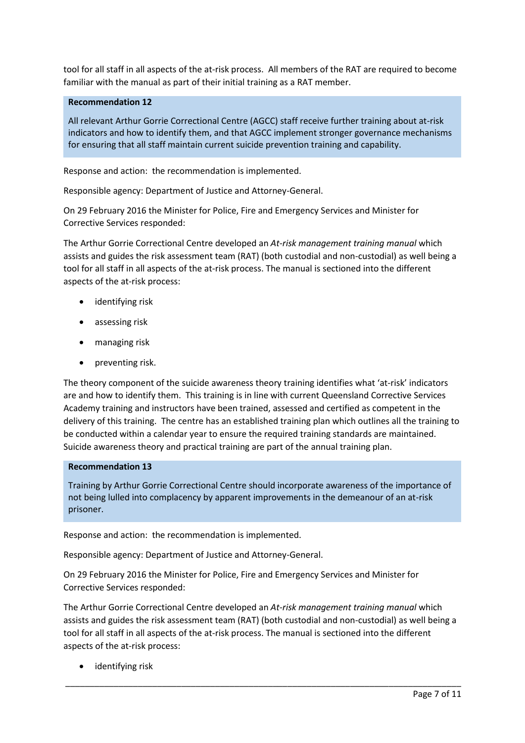tool for all staff in all aspects of the at-risk process. All members of the RAT are required to become familiar with the manual as part of their initial training as a RAT member.

# **Recommendation 12**

All relevant Arthur Gorrie Correctional Centre (AGCC) staff receive further training about at-risk indicators and how to identify them, and that AGCC implement stronger governance mechanisms for ensuring that all staff maintain current suicide prevention training and capability.

Response and action: the recommendation is implemented.

Responsible agency: Department of Justice and Attorney-General.

On 29 February 2016 the Minister for Police, Fire and Emergency Services and Minister for Corrective Services responded:

The Arthur Gorrie Correctional Centre developed an *At-risk management training manual* which assists and guides the risk assessment team (RAT) (both custodial and non-custodial) as well being a tool for all staff in all aspects of the at-risk process. The manual is sectioned into the different aspects of the at-risk process:

- identifying risk
- assessing risk
- managing risk
- preventing risk.

The theory component of the suicide awareness theory training identifies what 'at-risk' indicators are and how to identify them. This training is in line with current Queensland Corrective Services Academy training and instructors have been trained, assessed and certified as competent in the delivery of this training. The centre has an established training plan which outlines all the training to be conducted within a calendar year to ensure the required training standards are maintained. Suicide awareness theory and practical training are part of the annual training plan.

## **Recommendation 13**

Training by Arthur Gorrie Correctional Centre should incorporate awareness of the importance of not being lulled into complacency by apparent improvements in the demeanour of an at-risk prisoner.

Response and action: the recommendation is implemented.

Responsible agency: Department of Justice and Attorney-General.

On 29 February 2016 the Minister for Police, Fire and Emergency Services and Minister for Corrective Services responded:

The Arthur Gorrie Correctional Centre developed an *At-risk management training manual* which assists and guides the risk assessment team (RAT) (both custodial and non-custodial) as well being a tool for all staff in all aspects of the at-risk process. The manual is sectioned into the different aspects of the at-risk process:

\_\_\_\_\_\_\_\_\_\_\_\_\_\_\_\_\_\_\_\_\_\_\_\_\_\_\_\_\_\_\_\_\_\_\_\_\_\_\_\_\_\_\_\_\_\_\_\_\_\_\_\_\_\_\_\_\_\_\_\_\_\_\_\_\_\_\_\_\_\_\_\_\_\_\_\_\_\_\_\_\_\_

• identifying risk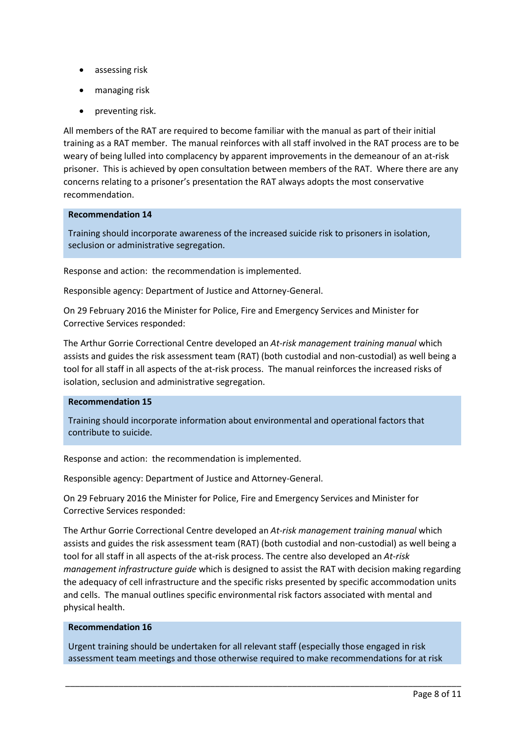- assessing risk
- managing risk
- preventing risk.

All members of the RAT are required to become familiar with the manual as part of their initial training as a RAT member. The manual reinforces with all staff involved in the RAT process are to be weary of being lulled into complacency by apparent improvements in the demeanour of an at-risk prisoner. This is achieved by open consultation between members of the RAT. Where there are any concerns relating to a prisoner's presentation the RAT always adopts the most conservative recommendation.

### **Recommendation 14**

Training should incorporate awareness of the increased suicide risk to prisoners in isolation, seclusion or administrative segregation.

Response and action: the recommendation is implemented.

Responsible agency: Department of Justice and Attorney-General.

On 29 February 2016 the Minister for Police, Fire and Emergency Services and Minister for Corrective Services responded:

The Arthur Gorrie Correctional Centre developed an *At-risk management training manual* which assists and guides the risk assessment team (RAT) (both custodial and non-custodial) as well being a tool for all staff in all aspects of the at-risk process. The manual reinforces the increased risks of isolation, seclusion and administrative segregation.

# **Recommendation 15**

Training should incorporate information about environmental and operational factors that contribute to suicide.

Response and action: the recommendation is implemented.

Responsible agency: Department of Justice and Attorney-General.

On 29 February 2016 the Minister for Police, Fire and Emergency Services and Minister for Corrective Services responded:

The Arthur Gorrie Correctional Centre developed an *At-risk management training manual* which assists and guides the risk assessment team (RAT) (both custodial and non-custodial) as well being a tool for all staff in all aspects of the at-risk process. The centre also developed an *At-risk management infrastructure guide* which is designed to assist the RAT with decision making regarding the adequacy of cell infrastructure and the specific risks presented by specific accommodation units and cells. The manual outlines specific environmental risk factors associated with mental and physical health.

### **Recommendation 16**

Urgent training should be undertaken for all relevant staff (especially those engaged in risk assessment team meetings and those otherwise required to make recommendations for at risk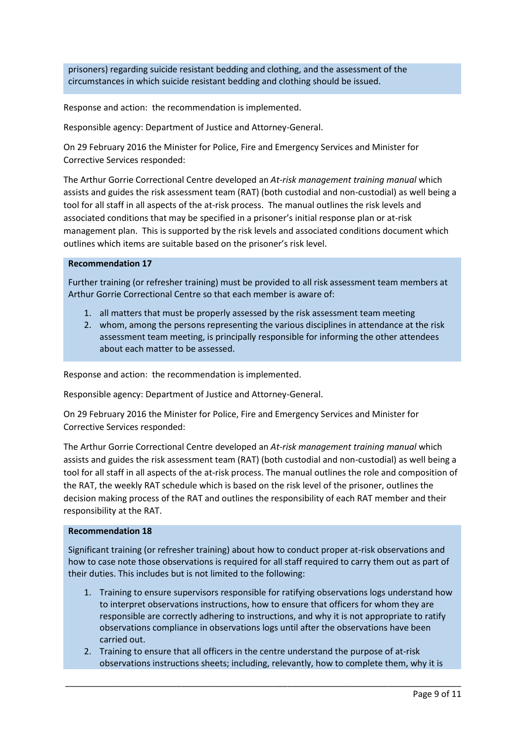prisoners) regarding suicide resistant bedding and clothing, and the assessment of the circumstances in which suicide resistant bedding and clothing should be issued.

Response and action: the recommendation is implemented.

Responsible agency: Department of Justice and Attorney-General.

On 29 February 2016 the Minister for Police, Fire and Emergency Services and Minister for Corrective Services responded:

The Arthur Gorrie Correctional Centre developed an *At-risk management training manual* which assists and guides the risk assessment team (RAT) (both custodial and non-custodial) as well being a tool for all staff in all aspects of the at-risk process. The manual outlines the risk levels and associated conditions that may be specified in a prisoner's initial response plan or at-risk management plan. This is supported by the risk levels and associated conditions document which outlines which items are suitable based on the prisoner's risk level.

## **Recommendation 17**

Further training (or refresher training) must be provided to all risk assessment team members at Arthur Gorrie Correctional Centre so that each member is aware of:

- 1. all matters that must be properly assessed by the risk assessment team meeting
- 2. whom, among the persons representing the various disciplines in attendance at the risk assessment team meeting, is principally responsible for informing the other attendees about each matter to be assessed.

Response and action: the recommendation is implemented.

Responsible agency: Department of Justice and Attorney-General.

On 29 February 2016 the Minister for Police, Fire and Emergency Services and Minister for Corrective Services responded:

The Arthur Gorrie Correctional Centre developed an *At-risk management training manual* which assists and guides the risk assessment team (RAT) (both custodial and non-custodial) as well being a tool for all staff in all aspects of the at-risk process. The manual outlines the role and composition of the RAT, the weekly RAT schedule which is based on the risk level of the prisoner, outlines the decision making process of the RAT and outlines the responsibility of each RAT member and their responsibility at the RAT.

## **Recommendation 18**

Significant training (or refresher training) about how to conduct proper at-risk observations and how to case note those observations is required for all staff required to carry them out as part of their duties. This includes but is not limited to the following:

- 1. Training to ensure supervisors responsible for ratifying observations logs understand how to interpret observations instructions, how to ensure that officers for whom they are responsible are correctly adhering to instructions, and why it is not appropriate to ratify observations compliance in observations logs until after the observations have been carried out.
- 2. Training to ensure that all officers in the centre understand the purpose of at-risk observations instructions sheets; including, relevantly, how to complete them, why it is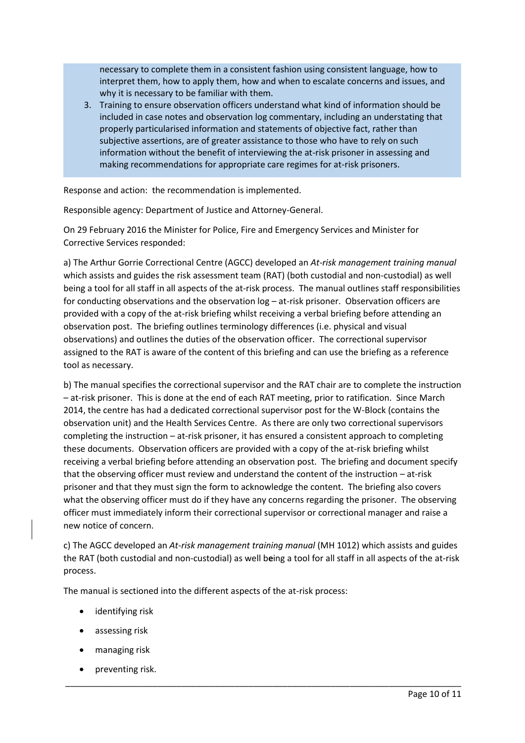necessary to complete them in a consistent fashion using consistent language, how to interpret them, how to apply them, how and when to escalate concerns and issues, and why it is necessary to be familiar with them.

3. Training to ensure observation officers understand what kind of information should be included in case notes and observation log commentary, including an understating that properly particularised information and statements of objective fact, rather than subjective assertions, are of greater assistance to those who have to rely on such information without the benefit of interviewing the at-risk prisoner in assessing and making recommendations for appropriate care regimes for at-risk prisoners.

Response and action: the recommendation is implemented.

Responsible agency: Department of Justice and Attorney-General.

On 29 February 2016 the Minister for Police, Fire and Emergency Services and Minister for Corrective Services responded:

a) The Arthur Gorrie Correctional Centre (AGCC) developed an *At-risk management training manual* which assists and guides the risk assessment team (RAT) (both custodial and non-custodial) as well being a tool for all staff in all aspects of the at-risk process. The manual outlines staff responsibilities for conducting observations and the observation log – at-risk prisoner. Observation officers are provided with a copy of the at-risk briefing whilst receiving a verbal briefing before attending an observation post. The briefing outlines terminology differences (i.e. physical and visual observations) and outlines the duties of the observation officer. The correctional supervisor assigned to the RAT is aware of the content of this briefing and can use the briefing as a reference tool as necessary.

b) The manual specifies the correctional supervisor and the RAT chair are to complete the instruction – at-risk prisoner. This is done at the end of each RAT meeting, prior to ratification. Since March 2014, the centre has had a dedicated correctional supervisor post for the W-Block (contains the observation unit) and the Health Services Centre. As there are only two correctional supervisors completing the instruction – at-risk prisoner, it has ensured a consistent approach to completing these documents. Observation officers are provided with a copy of the at-risk briefing whilst receiving a verbal briefing before attending an observation post. The briefing and document specify that the observing officer must review and understand the content of the instruction – at-risk prisoner and that they must sign the form to acknowledge the content. The briefing also covers what the observing officer must do if they have any concerns regarding the prisoner. The observing officer must immediately inform their correctional supervisor or correctional manager and raise a new notice of concern.

c) The AGCC developed an *At-risk management training manual* (MH 1012) which assists and guides the RAT (both custodial and non-custodial) as well b**e**ing a tool for all staff in all aspects of the at-risk process.

\_\_\_\_\_\_\_\_\_\_\_\_\_\_\_\_\_\_\_\_\_\_\_\_\_\_\_\_\_\_\_\_\_\_\_\_\_\_\_\_\_\_\_\_\_\_\_\_\_\_\_\_\_\_\_\_\_\_\_\_\_\_\_\_\_\_\_\_\_\_\_\_\_\_\_\_\_\_\_\_\_\_

The manual is sectioned into the different aspects of the at-risk process:

- identifying risk
- assessing risk
- managing risk
- preventing risk.